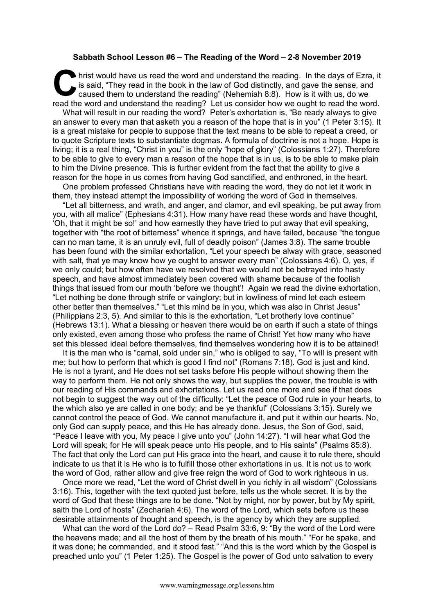## **Sabbath School Lesson #6 – The Reading of the Word – 2-8 November 2019**

hrist would have us read the word and understand the reading. In the days of Ezra, it is said, "They read in the book in the law of God distinctly, and gave the sense, and caused them to understand the reading" (Nehemiah 8 is said, "They read in the book in the law of God distinctly, and gave the sense, and caused them to understand the reading" (Nehemiah 8:8). How is it with us, do we read the word and understand the reading? Let us consider how we ought to read the word.

What will result in our reading the word? Peter's exhortation is, "Be ready always to give an answer to every man that asketh you a reason of the hope that is in you" (1 Peter 3:15). It is a great mistake for people to suppose that the text means to be able to repeat a creed, or to quote Scripture texts to substantiate dogmas. A formula of doctrine is not a hope. Hope is living; it is a real thing, "Christ in you" is the only "hope of glory" (Colossians 1:27). Therefore to be able to give to every man a reason of the hope that is in us, is to be able to make plain to him the Divine presence. This is further evident from the fact that the ability to give a reason for the hope in us comes from having God sanctified, and enthroned, in the heart.

One problem professed Christians have with reading the word, they do not let it work in them, they instead attempt the impossibility of working the word of God in themselves.

"Let all bitterness, and wrath, and anger, and clamor, and evil speaking, be put away from you, with all malice" (Ephesians 4:31). How many have read these words and have thought, 'Oh, that it might be so!' and how earnestly they have tried to put away that evil speaking, together with "the root of bitterness" whence it springs, and have failed, because "the tongue can no man tame, it is an unruly evil, full of deadly poison" (James 3:8). The same trouble has been found with the similar exhortation, "Let your speech be alway with grace, seasoned with salt, that ye may know how ye ought to answer every man" (Colossians 4:6). O, yes, if we only could; but how often have we resolved that we would not be betrayed into hasty speech, and have almost immediately been covered with shame because of the foolish things that issued from our mouth 'before we thought'! Again we read the divine exhortation, "Let nothing be done through strife or vainglory; but in lowliness of mind let each esteem other better than themselves." "Let this mind be in you, which was also in Christ Jesus" (Philippians 2:3, 5). And similar to this is the exhortation, "Let brotherly love continue" (Hebrews 13:1). What a blessing or heaven there would be on earth if such a state of things only existed, even among those who profess the name of Christ! Yet how many who have set this blessed ideal before themselves, find themselves wondering how it is to be attained!

It is the man who is "carnal, sold under sin," who is obliged to say, "To will is present with me; but how to perform that which is good I find not" (Romans 7:18). God is just and kind. He is not a tyrant, and He does not set tasks before His people without showing them the way to perform them. He not only shows the way, but supplies the power, the trouble is with our reading of His commands and exhortations. Let us read one more and see if that does not begin to suggest the way out of the difficulty: "Let the peace of God rule in your hearts, to the which also ye are called in one body; and be ye thankful" (Colossians 3:15). Surely we cannot control the peace of God. We cannot manufacture it, and put it within our hearts. No, only God can supply peace, and this He has already done. Jesus, the Son of God, said, "Peace I leave with you, My peace I give unto you" (John 14:27). "I will hear what God the Lord will speak; for He will speak peace unto His people, and to His saints" (Psalms 85:8). The fact that only the Lord can put His grace into the heart, and cause it to rule there, should indicate to us that it is He who is to fulfill those other exhortations in us. It is not us to work the word of God, rather allow and give free reign the word of God to work righteous in us.

Once more we read, "Let the word of Christ dwell in you richly in all wisdom" (Colossians 3:16). This, together with the text quoted just before, tells us the whole secret. It is by the word of God that these things are to be done. "Not by might, nor by power, but by My spirit, saith the Lord of hosts" (Zechariah 4:6). The word of the Lord, which sets before us these desirable attainments of thought and speech, is the agency by which they are supplied.

What can the word of the Lord do? – Read Psalm 33:6, 9: "By the word of the Lord were the heavens made; and all the host of them by the breath of his mouth." "For he spake, and it was done; he commanded, and it stood fast." "And this is the word which by the Gospel is preached unto you" (1 Peter 1:25). The Gospel is the power of God unto salvation to every